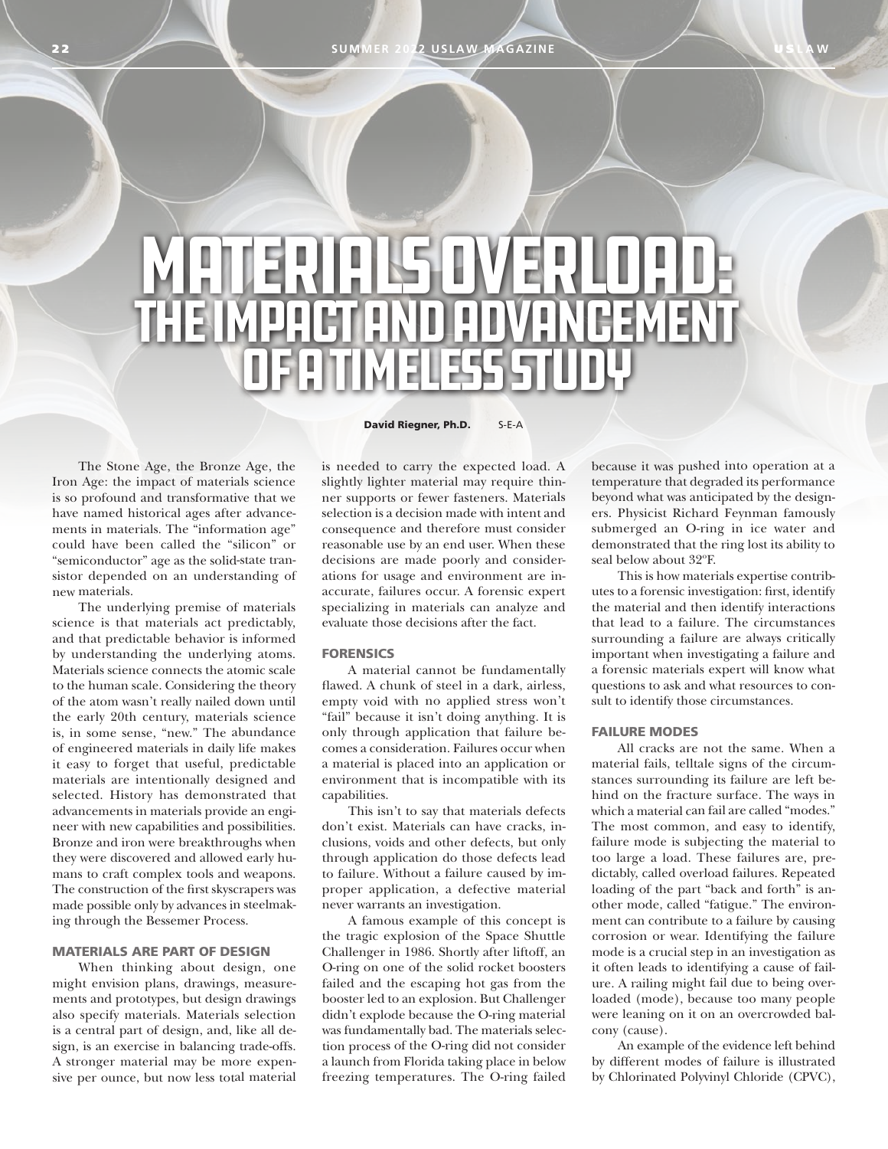**SUMMER 2022 USLAW MAGAZINE** 

# MATERIALS OVERLOAD: The Impact and Advancement OF A TIMELESS STUDY

The Stone Age, the Bronze Age, the Iron Age: the impact of materials science is so profound and transformative that we have named historical ages after advancements in materials. The "information age" could have been called the "silicon" or "semiconductor" age as the solid-state transistor depended on an understanding of new materials.

The underlying premise of materials science is that materials act predictably, and that predictable behavior is informed by understanding the underlying atoms. Materials science connects the atomic scale to the human scale. Considering the theory of the atom wasn't really nailed down until the early 20th century, materials science is, in some sense, "new." The abundance of engineered materials in daily life makes it easy to forget that useful, predictable materials are intentionally designed and selected. History has demonstrated that advancements in materials provide an engineer with new capabilities and possibilities. Bronze and iron were breakthroughs when they were discovered and allowed early humans to craft complex tools and weapons. The construction of the first skyscrapers was made possible only by advances in steelmaking through the Bessemer Process.

## MATERIALS ARE PART OF DESIGN

When thinking about design, one might envision plans, drawings, measurements and prototypes, but design drawings also specify materials. Materials selection is a central part of design, and, like all design, is an exercise in balancing trade-offs. A stronger material may be more expensive per ounce, but now less total material

David Riegner, Ph.D. S-E-A

is needed to carry the expected load. A slightly lighter material may require thinner supports or fewer fasteners. Materials selection is a decision made with intent and consequence and therefore must consider reasonable use by an end user. When these decisions are made poorly and considerations for usage and environment are inaccurate, failures occur. A forensic expert specializing in materials can analyze and evaluate those decisions after the fact.

#### **FORENSICS**

A material cannot be fundamentally flawed. A chunk of steel in a dark, airless, empty void with no applied stress won't "fail" because it isn't doing anything. It is only through application that failure becomes a consideration. Failures occur when a material is placed into an application or environment that is incompatible with its capabilities.

This isn't to say that materials defects don't exist. Materials can have cracks, inclusions, voids and other defects, but only through application do those defects lead to failure. Without a failure caused by improper application, a defective material never warrants an investigation.

A famous example of this concept is the tragic explosion of the Space Shuttle Challenger in 1986. Shortly after liftoff, an O-ring on one of the solid rocket boosters failed and the escaping hot gas from the booster led to an explosion. But Challenger didn't explode because the O-ring material was fundamentally bad. The materials selection process of the O-ring did not consider a launch from Florida taking place in below freezing temperatures. The O-ring failed because it was pushed into operation at a temperature that degraded its performance beyond what was anticipated by the designers. Physicist Richard Feynman famously submerged an O-ring in ice water and demonstrated that the ring lost its ability to seal below about 32°F.

This is how materials expertise contributes to a forensic investigation: first, identify the material and then identify interactions that lead to a failure. The circumstances surrounding a failure are always critically important when investigating a failure and a forensic materials expert will know what questions to ask and what resources to consult to identify those circumstances.

#### FAILURE MODES

All cracks are not the same. When a material fails, telltale signs of the circumstances surrounding its failure are left behind on the fracture surface. The ways in which a material can fail are called "modes." The most common, and easy to identify, failure mode is subjecting the material to too large a load. These failures are, predictably, called overload failures. Repeated loading of the part "back and forth" is another mode, called "fatigue." The environment can contribute to a failure by causing corrosion or wear. Identifying the failure mode is a crucial step in an investigation as it often leads to identifying a cause of failure. A railing might fail due to being overloaded (mode), because too many people were leaning on it on an overcrowded balcony (cause).

An example of the evidence left behind by different modes of failure is illustrated by Chlorinated Polyvinyl Chloride (CPVC),